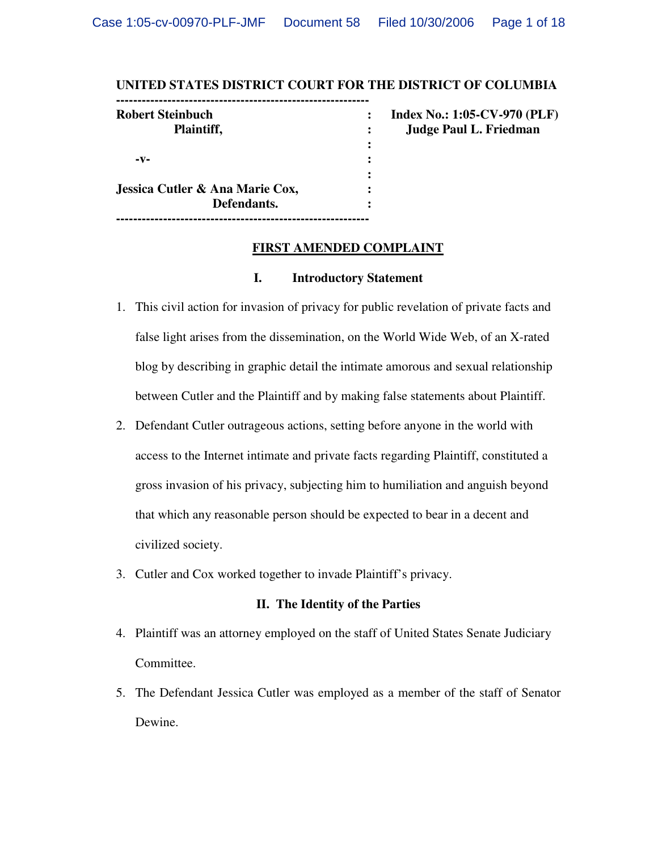#### **UNITED STATES DISTRICT COURT FOR THE DISTRICT OF COLUMBIA**

| <b>Robert Steinbuch</b>         | $\ddot{\cdot}$ | <b>Index No.: 1:05-CV-970 (PLF)</b> |
|---------------------------------|----------------|-------------------------------------|
| Plaintiff,                      |                | <b>Judge Paul L. Friedman</b>       |
|                                 | :              |                                     |
| $-V-$                           |                |                                     |
|                                 |                |                                     |
| Jessica Cutler & Ana Marie Cox, | ٠              |                                     |
| Defendants.                     |                |                                     |

#### **FIRST AMENDED COMPLAINT**

### **I. Introductory Statement**

- 1. This civil action for invasion of privacy for public revelation of private facts and false light arises from the dissemination, on the World Wide Web, of an X-rated blog by describing in graphic detail the intimate amorous and sexual relationship between Cutler and the Plaintiff and by making false statements about Plaintiff.
- 2. Defendant Cutler outrageous actions, setting before anyone in the world with access to the Internet intimate and private facts regarding Plaintiff, constituted a gross invasion of his privacy, subjecting him to humiliation and anguish beyond that which any reasonable person should be expected to bear in a decent and civilized society.
- 3. Cutler and Cox worked together to invade Plaintiff's privacy.

#### **II. The Identity of the Parties**

- 4. Plaintiff was an attorney employed on the staff of United States Senate Judiciary Committee.
- 5. The Defendant Jessica Cutler was employed as a member of the staff of Senator Dewine.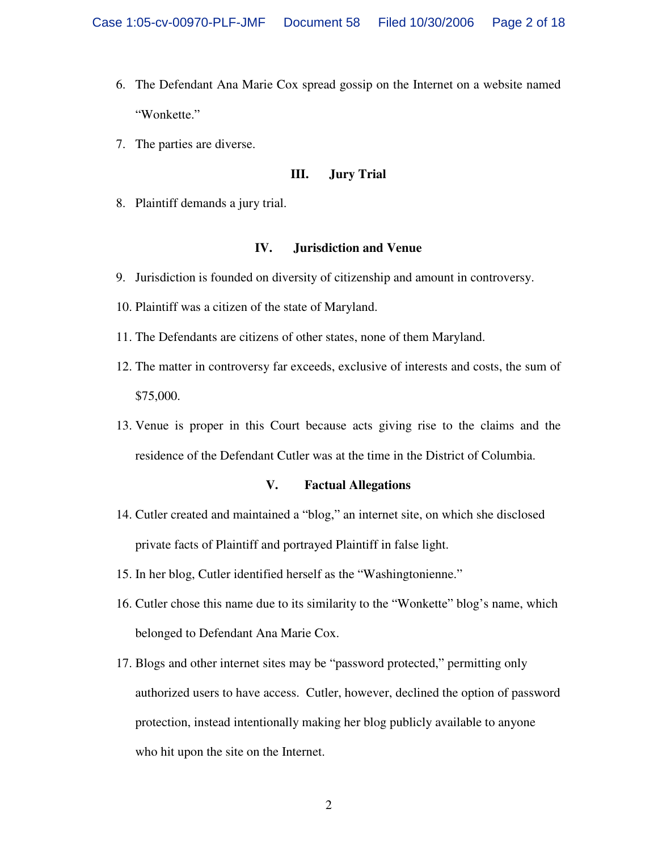- 6. The Defendant Ana Marie Cox spread gossip on the Internet on a website named "Wonkette."
- 7. The parties are diverse.

#### **III. Jury Trial**

8. Plaintiff demands a jury trial.

### **IV. Jurisdiction and Venue**

- 9. Jurisdiction is founded on diversity of citizenship and amount in controversy.
- 10. Plaintiff was a citizen of the state of Maryland.
- 11. The Defendants are citizens of other states, none of them Maryland.
- 12. The matter in controversy far exceeds, exclusive of interests and costs, the sum of \$75,000.
- 13. Venue is proper in this Court because acts giving rise to the claims and the residence of the Defendant Cutler was at the time in the District of Columbia.

## **V. Factual Allegations**

- 14. Cutler created and maintained a "blog," an internet site, on which she disclosed private facts of Plaintiff and portrayed Plaintiff in false light.
- 15. In her blog, Cutler identified herself as the "Washingtonienne."
- 16. Cutler chose this name due to its similarity to the "Wonkette" blog's name, which belonged to Defendant Ana Marie Cox.
- 17. Blogs and other internet sites may be "password protected," permitting only authorized users to have access. Cutler, however, declined the option of password protection, instead intentionally making her blog publicly available to anyone who hit upon the site on the Internet.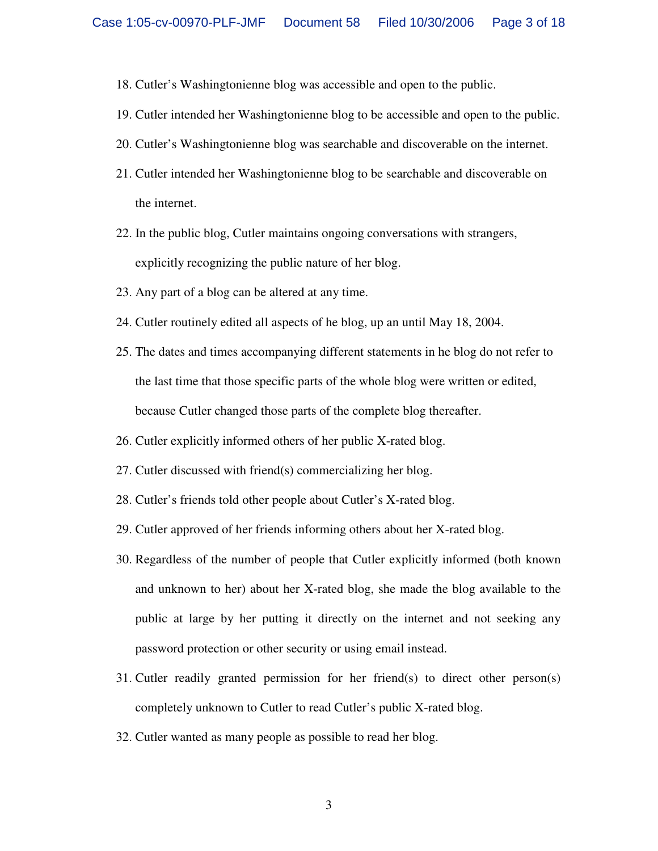- 18. Cutler's Washingtonienne blog was accessible and open to the public.
- 19. Cutler intended her Washingtonienne blog to be accessible and open to the public.
- 20. Cutler's Washingtonienne blog was searchable and discoverable on the internet.
- 21. Cutler intended her Washingtonienne blog to be searchable and discoverable on the internet.
- 22. In the public blog, Cutler maintains ongoing conversations with strangers, explicitly recognizing the public nature of her blog.
- 23. Any part of a blog can be altered at any time.
- 24. Cutler routinely edited all aspects of he blog, up an until May 18, 2004.
- 25. The dates and times accompanying different statements in he blog do not refer to the last time that those specific parts of the whole blog were written or edited, because Cutler changed those parts of the complete blog thereafter.
- 26. Cutler explicitly informed others of her public X-rated blog.
- 27. Cutler discussed with friend(s) commercializing her blog.
- 28. Cutler's friends told other people about Cutler's X-rated blog.
- 29. Cutler approved of her friends informing others about her X-rated blog.
- 30. Regardless of the number of people that Cutler explicitly informed (both known and unknown to her) about her X-rated blog, she made the blog available to the public at large by her putting it directly on the internet and not seeking any password protection or other security or using email instead.
- 31. Cutler readily granted permission for her friend(s) to direct other person(s) completely unknown to Cutler to read Cutler's public X-rated blog.
- 32. Cutler wanted as many people as possible to read her blog.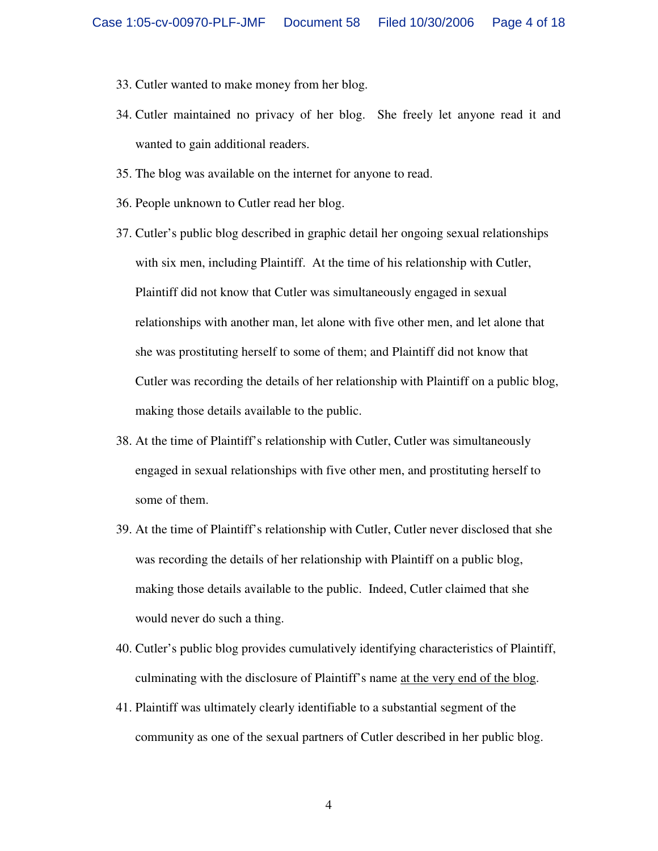- 33. Cutler wanted to make money from her blog.
- 34. Cutler maintained no privacy of her blog. She freely let anyone read it and wanted to gain additional readers.
- 35. The blog was available on the internet for anyone to read.
- 36. People unknown to Cutler read her blog.
- 37. Cutler's public blog described in graphic detail her ongoing sexual relationships with six men, including Plaintiff. At the time of his relationship with Cutler, Plaintiff did not know that Cutler was simultaneously engaged in sexual relationships with another man, let alone with five other men, and let alone that she was prostituting herself to some of them; and Plaintiff did not know that Cutler was recording the details of her relationship with Plaintiff on a public blog, making those details available to the public.
- 38. At the time of Plaintiff's relationship with Cutler, Cutler was simultaneously engaged in sexual relationships with five other men, and prostituting herself to some of them.
- 39. At the time of Plaintiff's relationship with Cutler, Cutler never disclosed that she was recording the details of her relationship with Plaintiff on a public blog, making those details available to the public. Indeed, Cutler claimed that she would never do such a thing.
- 40. Cutler's public blog provides cumulatively identifying characteristics of Plaintiff, culminating with the disclosure of Plaintiff's name at the very end of the blog.
- 41. Plaintiff was ultimately clearly identifiable to a substantial segment of the community as one of the sexual partners of Cutler described in her public blog.

4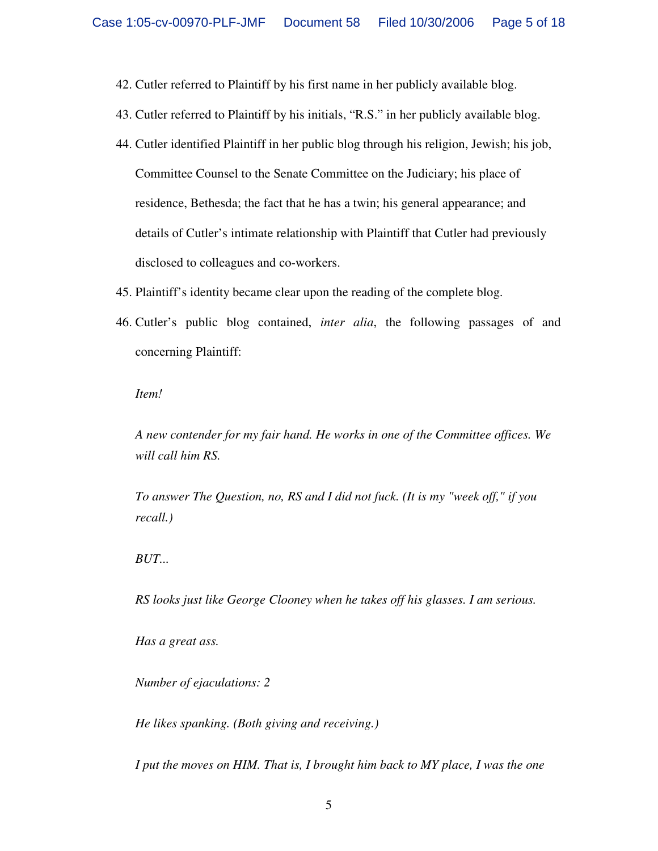- 42. Cutler referred to Plaintiff by his first name in her publicly available blog.
- 43. Cutler referred to Plaintiff by his initials, "R.S." in her publicly available blog.
- 44. Cutler identified Plaintiff in her public blog through his religion, Jewish; his job, Committee Counsel to the Senate Committee on the Judiciary; his place of residence, Bethesda; the fact that he has a twin; his general appearance; and details of Cutler's intimate relationship with Plaintiff that Cutler had previously disclosed to colleagues and co-workers.
- 45. Plaintiff's identity became clear upon the reading of the complete blog.
- 46. Cutler's public blog contained, *inter alia*, the following passages of and concerning Plaintiff:

*Item!* 

*A new contender for my fair hand. He works in one of the Committee offices. We will call him RS.* 

*To answer The Question, no, RS and I did not fuck. (It is my "week off," if you recall.)* 

*BUT...* 

*RS looks just like George Clooney when he takes off his glasses. I am serious.* 

*Has a great ass.* 

*Number of ejaculations: 2* 

*He likes spanking. (Both giving and receiving.)* 

*I put the moves on HIM. That is, I brought him back to MY place, I was the one*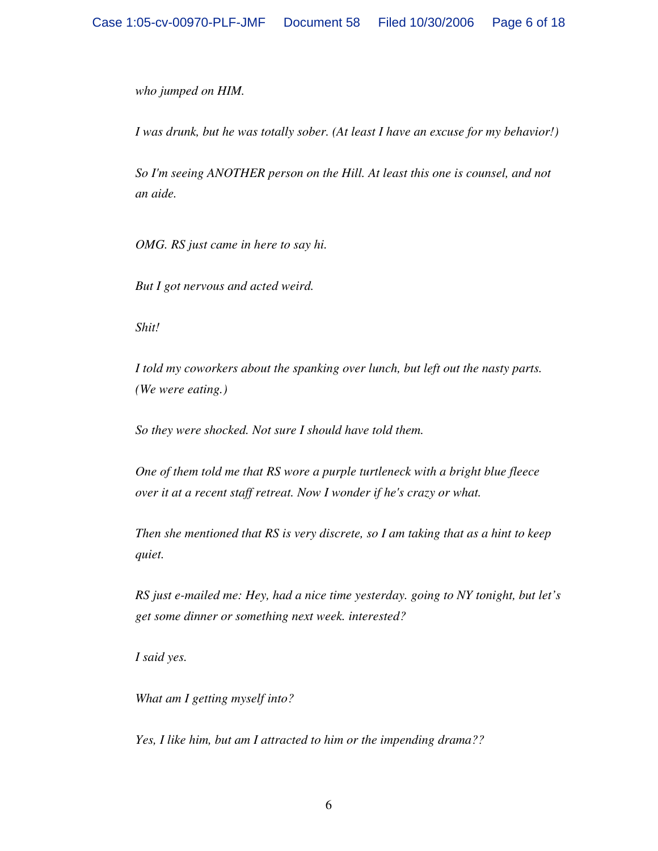*who jumped on HIM.* 

*I* was drunk, but he was totally sober. (At least *I* have an excuse for my behavior!)

*So I'm seeing ANOTHER person on the Hill. At least this one is counsel, and not an aide.* 

*OMG. RS just came in here to say hi.* 

*But I got nervous and acted weird.* 

*Shit!* 

*I told my coworkers about the spanking over lunch, but left out the nasty parts. (We were eating.)* 

*So they were shocked. Not sure I should have told them.* 

*One of them told me that RS wore a purple turtleneck with a bright blue fleece over it at a recent staff retreat. Now I wonder if he's crazy or what.* 

*Then she mentioned that RS is very discrete, so I am taking that as a hint to keep quiet.* 

*RS just e-mailed me: Hey, had a nice time yesterday. going to NY tonight, but let's get some dinner or something next week. interested?* 

*I said yes.* 

*What am I getting myself into?* 

*Yes, I like him, but am I attracted to him or the impending drama??*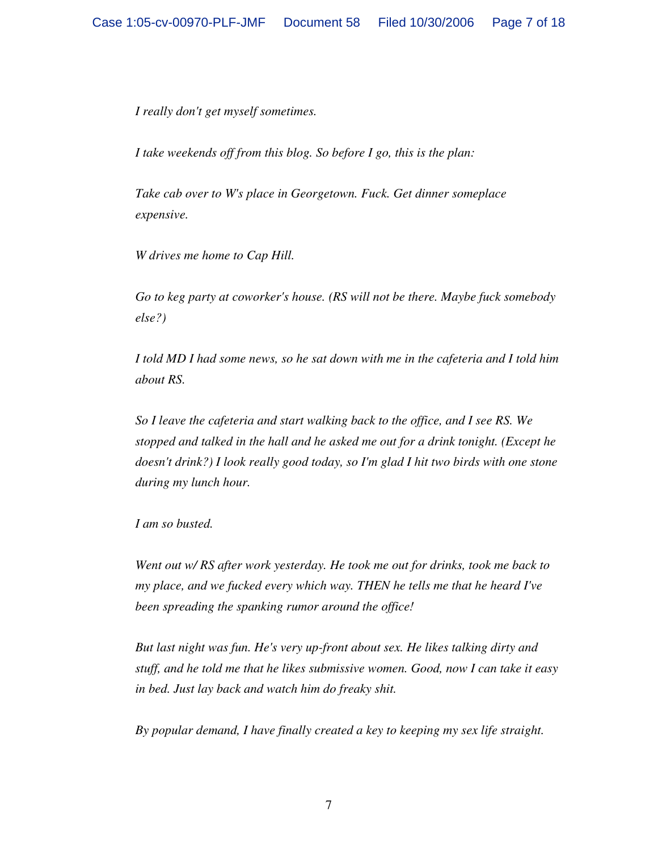*I really don't get myself sometimes.* 

*I take weekends off from this blog. So before I go, this is the plan:* 

*Take cab over to W's place in Georgetown. Fuck. Get dinner someplace expensive.* 

*W drives me home to Cap Hill.* 

*Go to keg party at coworker's house. (RS will not be there. Maybe fuck somebody else?)* 

*I told MD I had some news, so he sat down with me in the cafeteria and I told him about RS.* 

*So I leave the cafeteria and start walking back to the office, and I see RS. We stopped and talked in the hall and he asked me out for a drink tonight. (Except he doesn't drink?) I look really good today, so I'm glad I hit two birds with one stone during my lunch hour.* 

*I am so busted.* 

*Went out w/ RS after work yesterday. He took me out for drinks, took me back to my place, and we fucked every which way. THEN he tells me that he heard I've been spreading the spanking rumor around the office!* 

*But last night was fun. He's very up-front about sex. He likes talking dirty and stuff, and he told me that he likes submissive women. Good, now I can take it easy in bed. Just lay back and watch him do freaky shit.* 

*By popular demand, I have finally created a key to keeping my sex life straight.*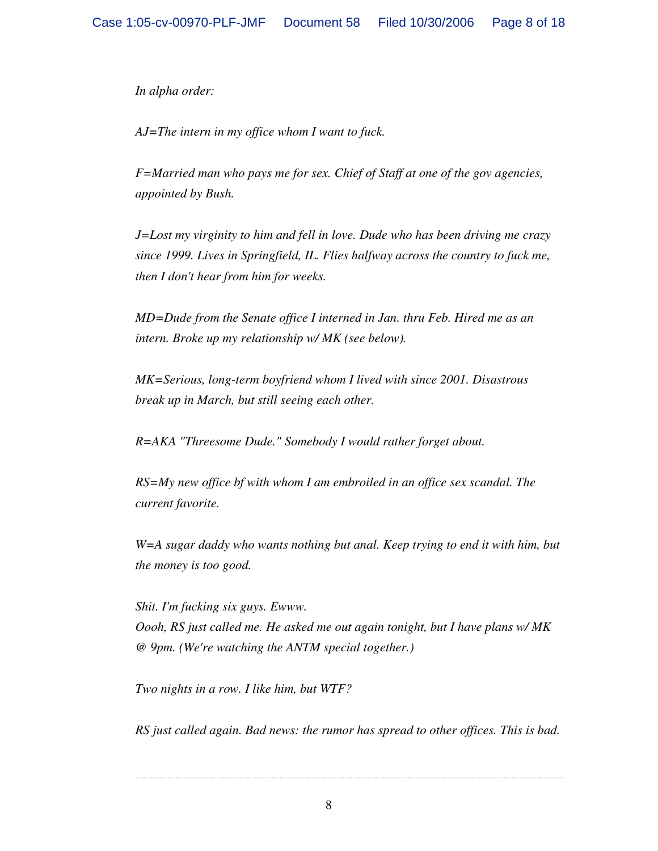*In alpha order:* 

*AJ=The intern in my office whom I want to fuck.* 

*F=Married man who pays me for sex. Chief of Staff at one of the gov agencies, appointed by Bush.* 

*J=Lost my virginity to him and fell in love. Dude who has been driving me crazy since 1999. Lives in Springfield, IL. Flies halfway across the country to fuck me, then I don't hear from him for weeks.* 

*MD=Dude from the Senate office I interned in Jan. thru Feb. Hired me as an intern. Broke up my relationship w/ MK (see below).* 

*MK=Serious, long-term boyfriend whom I lived with since 2001. Disastrous break up in March, but still seeing each other.* 

*R=AKA "Threesome Dude." Somebody I would rather forget about.* 

*RS=My new office bf with whom I am embroiled in an office sex scandal. The current favorite.* 

*W=A sugar daddy who wants nothing but anal. Keep trying to end it with him, but the money is too good.* 

*Shit. I'm fucking six guys. Ewww. Oooh, RS just called me. He asked me out again tonight, but I have plans w/ MK @ 9pm. (We're watching the ANTM special together.)* 

*Two nights in a row. I like him, but WTF?* 

*RS just called again. Bad news: the rumor has spread to other offices. This is bad.*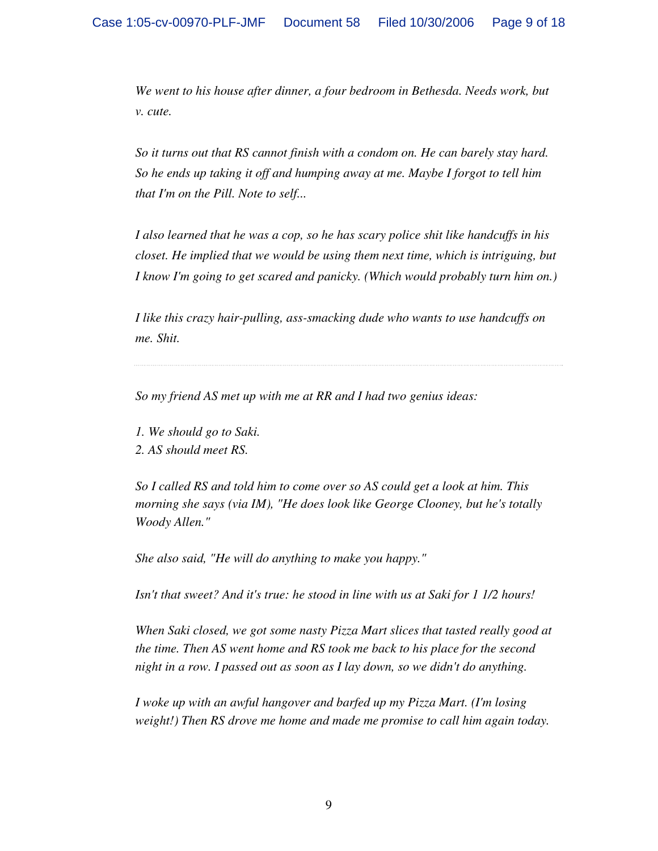*We went to his house after dinner, a four bedroom in Bethesda. Needs work, but v. cute.* 

*So it turns out that RS cannot finish with a condom on. He can barely stay hard. So he ends up taking it off and humping away at me. Maybe I forgot to tell him that I'm on the Pill. Note to self...* 

*I also learned that he was a cop, so he has scary police shit like handcuffs in his closet. He implied that we would be using them next time, which is intriguing, but I know I'm going to get scared and panicky. (Which would probably turn him on.)* 

*I like this crazy hair-pulling, ass-smacking dude who wants to use handcuffs on me. Shit.* 

*So my friend AS met up with me at RR and I had two genius ideas:* 

- *1. We should go to Saki.*
- *2. AS should meet RS.*

*So I called RS and told him to come over so AS could get a look at him. This morning she says (via IM), "He does look like George Clooney, but he's totally Woody Allen."* 

*She also said, "He will do anything to make you happy."* 

*Isn't that sweet? And it's true: he stood in line with us at Saki for 1 1/2 hours!* 

*When Saki closed, we got some nasty Pizza Mart slices that tasted really good at the time. Then AS went home and RS took me back to his place for the second night in a row. I passed out as soon as I lay down, so we didn't do anything.* 

*I woke up with an awful hangover and barfed up my Pizza Mart. (I'm losing weight!) Then RS drove me home and made me promise to call him again today.*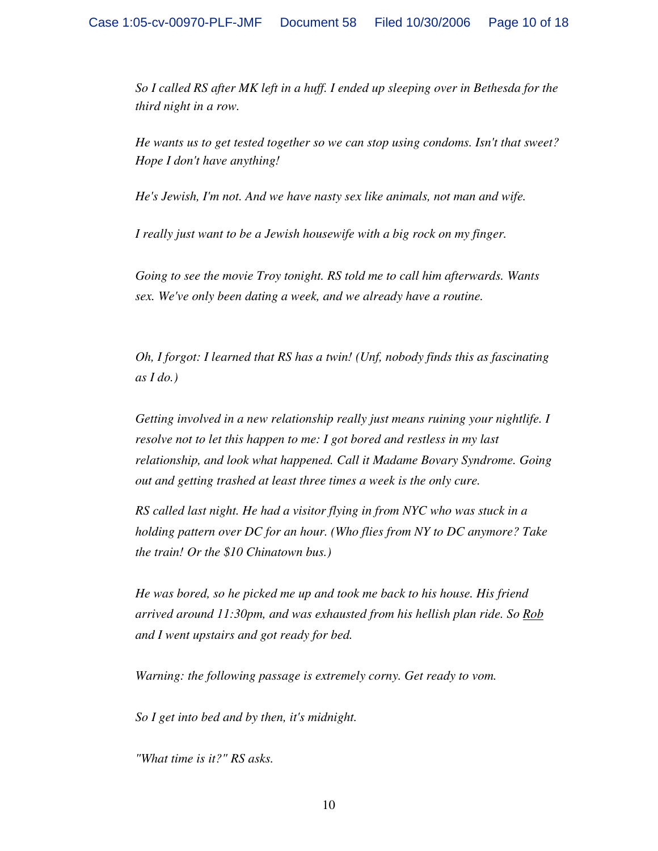*So I called RS after MK left in a huff. I ended up sleeping over in Bethesda for the third night in a row.* 

*He wants us to get tested together so we can stop using condoms. Isn't that sweet? Hope I don't have anything!* 

*He's Jewish, I'm not. And we have nasty sex like animals, not man and wife.* 

*I really just want to be a Jewish housewife with a big rock on my finger.* 

*Going to see the movie Troy tonight. RS told me to call him afterwards. Wants sex. We've only been dating a week, and we already have a routine.* 

*Oh, I forgot: I learned that RS has a twin! (Unf, nobody finds this as fascinating as I do.)* 

*Getting involved in a new relationship really just means ruining your nightlife. I resolve not to let this happen to me: I got bored and restless in my last relationship, and look what happened. Call it Madame Bovary Syndrome. Going out and getting trashed at least three times a week is the only cure.* 

*RS called last night. He had a visitor flying in from NYC who was stuck in a holding pattern over DC for an hour. (Who flies from NY to DC anymore? Take the train! Or the \$10 Chinatown bus.)* 

*He was bored, so he picked me up and took me back to his house. His friend arrived around 11:30pm, and was exhausted from his hellish plan ride. So Rob and I went upstairs and got ready for bed.* 

*Warning: the following passage is extremely corny. Get ready to vom.* 

*So I get into bed and by then, it's midnight.* 

*"What time is it?" RS asks.*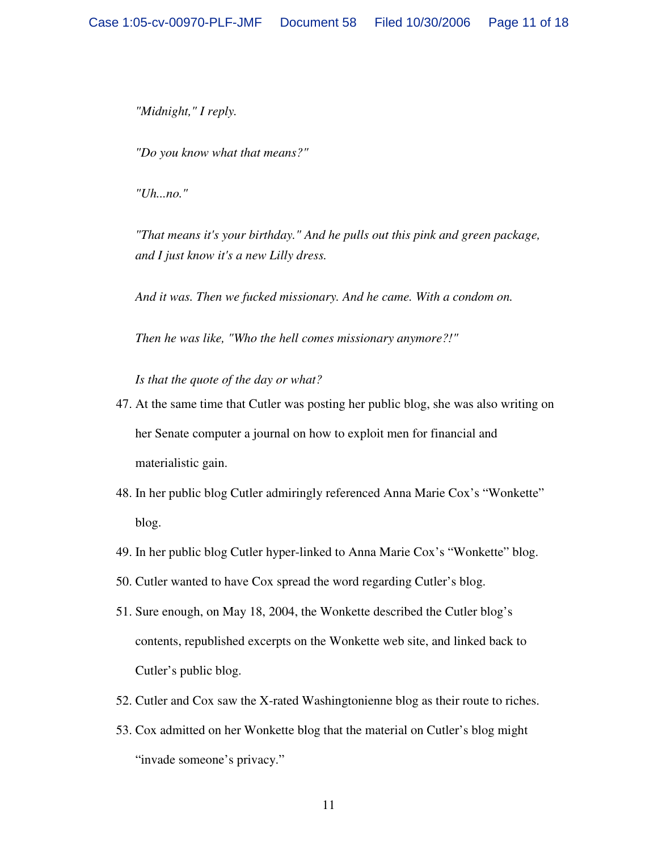*"Midnight," I reply.* 

*"Do you know what that means?"* 

*"Uh...no."* 

*"That means it's your birthday." And he pulls out this pink and green package, and I just know it's a new Lilly dress.* 

*And it was. Then we fucked missionary. And he came. With a condom on.* 

*Then he was like, "Who the hell comes missionary anymore?!"* 

*Is that the quote of the day or what?* 

- 47. At the same time that Cutler was posting her public blog, she was also writing on her Senate computer a journal on how to exploit men for financial and materialistic gain.
- 48. In her public blog Cutler admiringly referenced Anna Marie Cox's "Wonkette" blog.
- 49. In her public blog Cutler hyper-linked to Anna Marie Cox's "Wonkette" blog.
- 50. Cutler wanted to have Cox spread the word regarding Cutler's blog.
- 51. Sure enough, on May 18, 2004, the Wonkette described the Cutler blog's contents, republished excerpts on the Wonkette web site, and linked back to Cutler's public blog.
- 52. Cutler and Cox saw the X-rated Washingtonienne blog as their route to riches.
- 53. Cox admitted on her Wonkette blog that the material on Cutler's blog might "invade someone's privacy."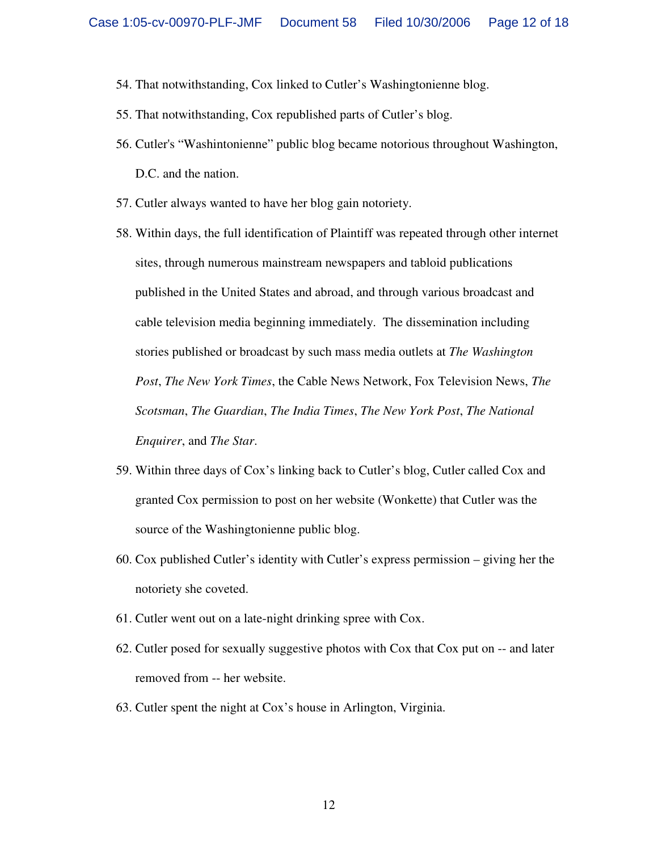- 54. That notwithstanding, Cox linked to Cutler's Washingtonienne blog.
- 55. That notwithstanding, Cox republished parts of Cutler's blog.
- 56. Cutler's "Washintonienne" public blog became notorious throughout Washington, D.C. and the nation.
- 57. Cutler always wanted to have her blog gain notoriety.
- 58. Within days, the full identification of Plaintiff was repeated through other internet sites, through numerous mainstream newspapers and tabloid publications published in the United States and abroad, and through various broadcast and cable television media beginning immediately. The dissemination including stories published or broadcast by such mass media outlets at *The Washington Post*, *The New York Times*, the Cable News Network, Fox Television News, *The Scotsman*, *The Guardian*, *The India Times*, *The New York Post*, *The National Enquirer*, and *The Star*.
- 59. Within three days of Cox's linking back to Cutler's blog, Cutler called Cox and granted Cox permission to post on her website (Wonkette) that Cutler was the source of the Washingtonienne public blog.
- 60. Cox published Cutler's identity with Cutler's express permission giving her the notoriety she coveted.
- 61. Cutler went out on a late-night drinking spree with Cox.
- 62. Cutler posed for sexually suggestive photos with Cox that Cox put on -- and later removed from -- her website.
- 63. Cutler spent the night at Cox's house in Arlington, Virginia.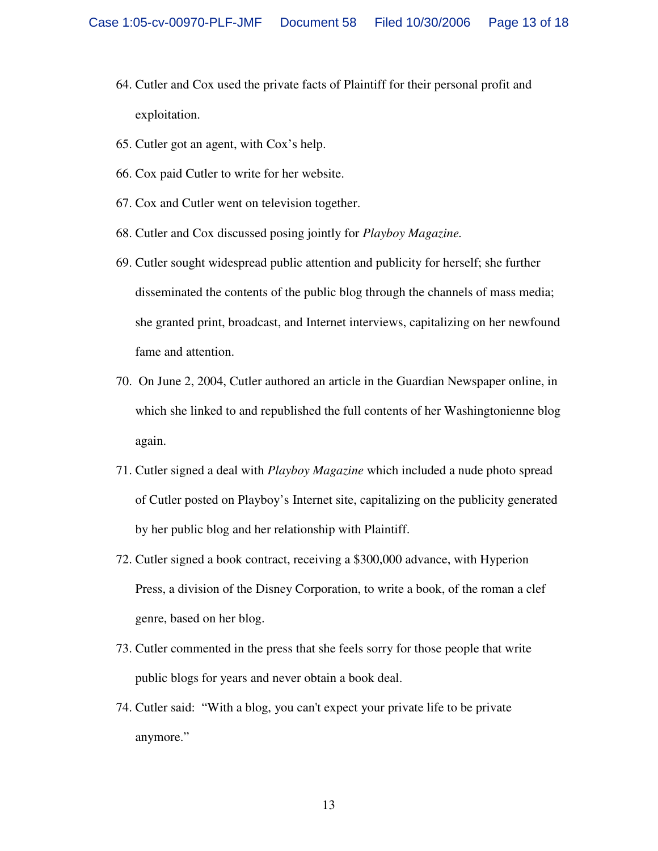- 64. Cutler and Cox used the private facts of Plaintiff for their personal profit and exploitation.
- 65. Cutler got an agent, with Cox's help.
- 66. Cox paid Cutler to write for her website.
- 67. Cox and Cutler went on television together.
- 68. Cutler and Cox discussed posing jointly for *Playboy Magazine.*
- 69. Cutler sought widespread public attention and publicity for herself; she further disseminated the contents of the public blog through the channels of mass media; she granted print, broadcast, and Internet interviews, capitalizing on her newfound fame and attention.
- 70. On June 2, 2004, Cutler authored an article in the Guardian Newspaper online, in which she linked to and republished the full contents of her Washingtonienne blog again.
- 71. Cutler signed a deal with *Playboy Magazine* which included a nude photo spread of Cutler posted on Playboy's Internet site, capitalizing on the publicity generated by her public blog and her relationship with Plaintiff.
- 72. Cutler signed a book contract, receiving a \$300,000 advance, with Hyperion Press, a division of the Disney Corporation, to write a book, of the roman a clef genre, based on her blog.
- 73. Cutler commented in the press that she feels sorry for those people that write public blogs for years and never obtain a book deal.
- 74. Cutler said: "With a blog, you can't expect your private life to be private anymore."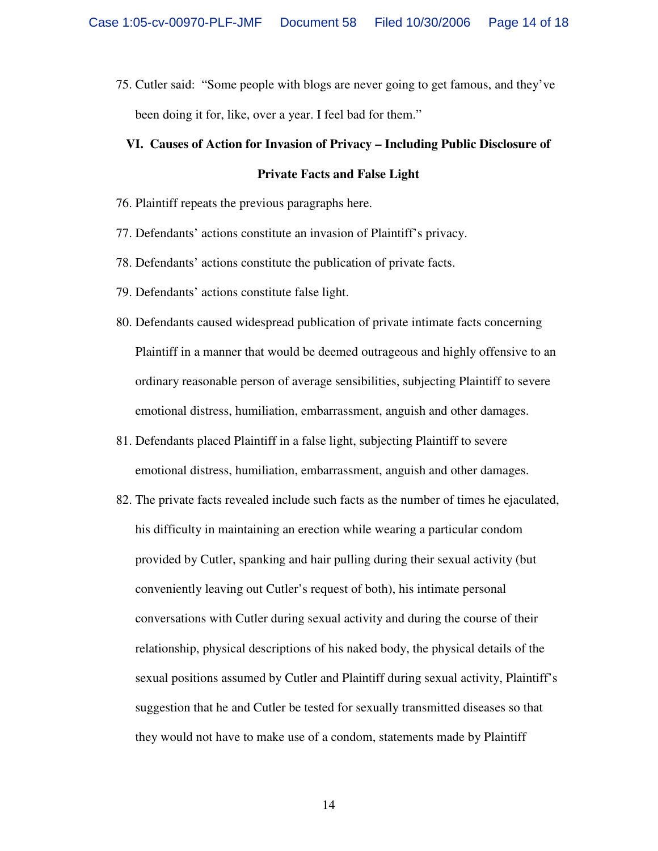75. Cutler said: "Some people with blogs are never going to get famous, and they've been doing it for, like, over a year. I feel bad for them."

# **VI. Causes of Action for Invasion of Privacy – Including Public Disclosure of Private Facts and False Light**

- 76. Plaintiff repeats the previous paragraphs here.
- 77. Defendants' actions constitute an invasion of Plaintiff's privacy.
- 78. Defendants' actions constitute the publication of private facts.
- 79. Defendants' actions constitute false light.
- 80. Defendants caused widespread publication of private intimate facts concerning Plaintiff in a manner that would be deemed outrageous and highly offensive to an ordinary reasonable person of average sensibilities, subjecting Plaintiff to severe emotional distress, humiliation, embarrassment, anguish and other damages.
- 81. Defendants placed Plaintiff in a false light, subjecting Plaintiff to severe emotional distress, humiliation, embarrassment, anguish and other damages.
- 82. The private facts revealed include such facts as the number of times he ejaculated, his difficulty in maintaining an erection while wearing a particular condom provided by Cutler, spanking and hair pulling during their sexual activity (but conveniently leaving out Cutler's request of both), his intimate personal conversations with Cutler during sexual activity and during the course of their relationship, physical descriptions of his naked body, the physical details of the sexual positions assumed by Cutler and Plaintiff during sexual activity, Plaintiff's suggestion that he and Cutler be tested for sexually transmitted diseases so that they would not have to make use of a condom, statements made by Plaintiff

14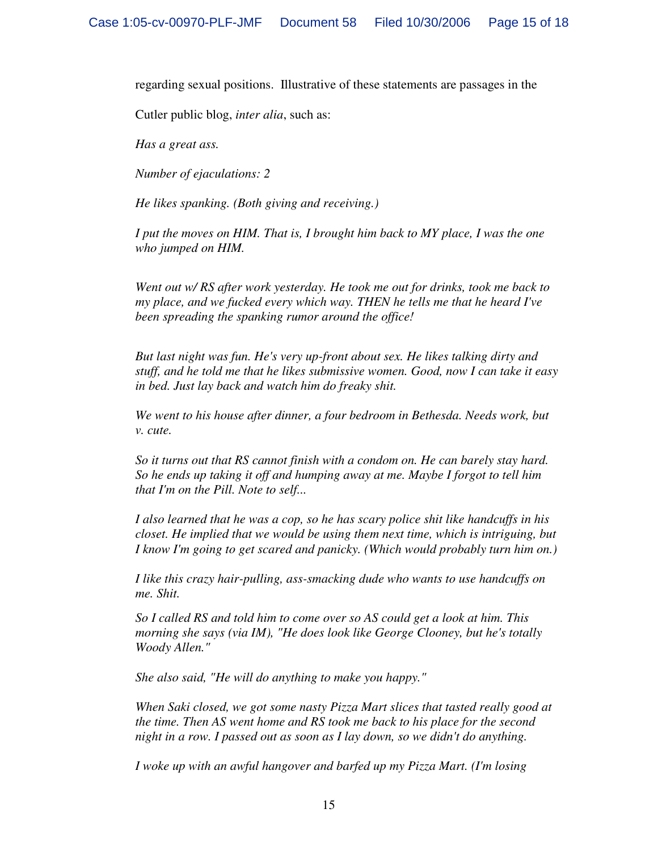regarding sexual positions. Illustrative of these statements are passages in the

Cutler public blog, *inter alia*, such as:

*Has a great ass.* 

*Number of ejaculations: 2* 

*He likes spanking. (Both giving and receiving.)* 

*I put the moves on HIM. That is, I brought him back to MY place, I was the one who jumped on HIM.* 

*Went out w/ RS after work yesterday. He took me out for drinks, took me back to my place, and we fucked every which way. THEN he tells me that he heard I've been spreading the spanking rumor around the office!* 

*But last night was fun. He's very up-front about sex. He likes talking dirty and stuff, and he told me that he likes submissive women. Good, now I can take it easy in bed. Just lay back and watch him do freaky shit.* 

*We went to his house after dinner, a four bedroom in Bethesda. Needs work, but v. cute.* 

*So it turns out that RS cannot finish with a condom on. He can barely stay hard. So he ends up taking it off and humping away at me. Maybe I forgot to tell him that I'm on the Pill. Note to self...* 

*I also learned that he was a cop, so he has scary police shit like handcuffs in his closet. He implied that we would be using them next time, which is intriguing, but I know I'm going to get scared and panicky. (Which would probably turn him on.)* 

*I like this crazy hair-pulling, ass-smacking dude who wants to use handcuffs on me. Shit.* 

*So I called RS and told him to come over so AS could get a look at him. This morning she says (via IM), "He does look like George Clooney, but he's totally Woody Allen."* 

*She also said, "He will do anything to make you happy."* 

*When Saki closed, we got some nasty Pizza Mart slices that tasted really good at the time. Then AS went home and RS took me back to his place for the second night in a row. I passed out as soon as I lay down, so we didn't do anything.* 

*I woke up with an awful hangover and barfed up my Pizza Mart. (I'm losing*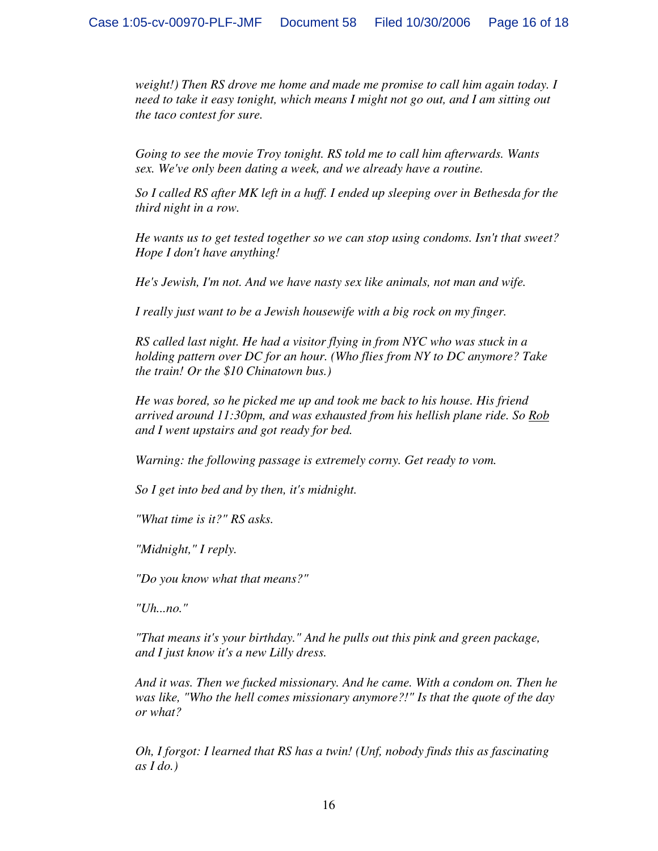*weight!) Then RS drove me home and made me promise to call him again today. I need to take it easy tonight, which means I might not go out, and I am sitting out the taco contest for sure.* 

*Going to see the movie Troy tonight. RS told me to call him afterwards. Wants sex. We've only been dating a week, and we already have a routine.* 

*So I called RS after MK left in a huff. I ended up sleeping over in Bethesda for the third night in a row.* 

*He wants us to get tested together so we can stop using condoms. Isn't that sweet? Hope I don't have anything!* 

*He's Jewish, I'm not. And we have nasty sex like animals, not man and wife.* 

*I really just want to be a Jewish housewife with a big rock on my finger.* 

*RS called last night. He had a visitor flying in from NYC who was stuck in a holding pattern over DC for an hour. (Who flies from NY to DC anymore? Take the train! Or the \$10 Chinatown bus.)* 

*He was bored, so he picked me up and took me back to his house. His friend arrived around 11:30pm, and was exhausted from his hellish plane ride. So Rob and I went upstairs and got ready for bed.* 

*Warning: the following passage is extremely corny. Get ready to vom.* 

*So I get into bed and by then, it's midnight.* 

*"What time is it?" RS asks.* 

*"Midnight," I reply.* 

*"Do you know what that means?"* 

*"Uh...no."* 

*"That means it's your birthday." And he pulls out this pink and green package, and I just know it's a new Lilly dress.* 

*And it was. Then we fucked missionary. And he came. With a condom on. Then he was like, "Who the hell comes missionary anymore?!" Is that the quote of the day or what?* 

*Oh, I forgot: I learned that RS has a twin! (Unf, nobody finds this as fascinating as I do.)*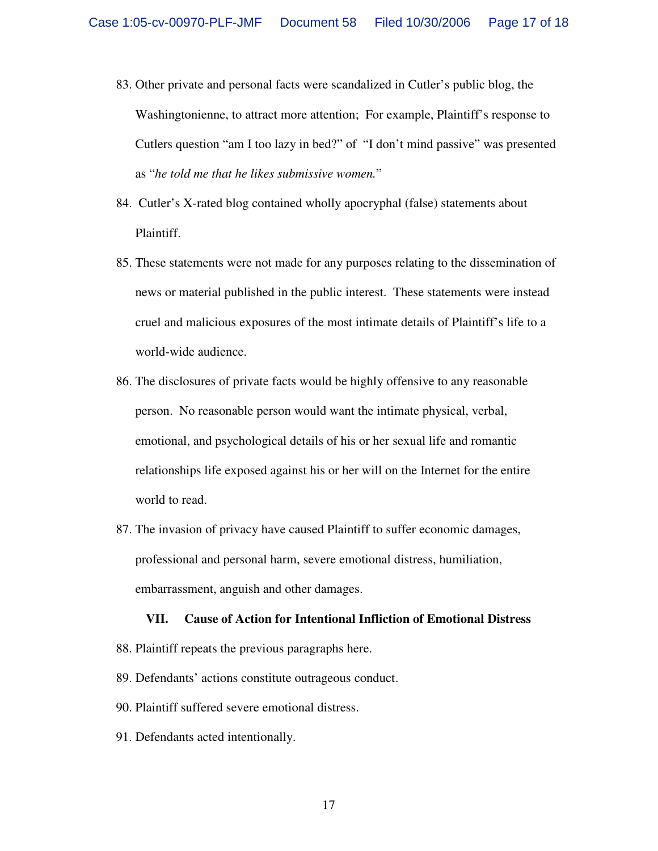- 83. Other private and personal facts were scandalized in Cutler's public blog, the Washingtonienne, to attract more attention; For example, Plaintiff's response to Cutlers question "am I too lazy in bed?" of "I don't mind passive" was presented as "*he told me that he likes submissive women.*"
- 84. Cutler's X-rated blog contained wholly apocryphal (false) statements about Plaintiff.
- 85. These statements were not made for any purposes relating to the dissemination of news or material published in the public interest. These statements were instead cruel and malicious exposures of the most intimate details of Plaintiff's life to a world-wide audience.
- 86. The disclosures of private facts would be highly offensive to any reasonable person. No reasonable person would want the intimate physical, verbal, emotional, and psychological details of his or her sexual life and romantic relationships life exposed against his or her will on the Internet for the entire world to read.
- 87. The invasion of privacy have caused Plaintiff to suffer economic damages, professional and personal harm, severe emotional distress, humiliation, embarrassment, anguish and other damages.

#### **VII. Cause of Action for Intentional Infliction of Emotional Distress**

- 88. Plaintiff repeats the previous paragraphs here.
- 89. Defendants' actions constitute outrageous conduct.
- 90. Plaintiff suffered severe emotional distress.
- 91. Defendants acted intentionally.